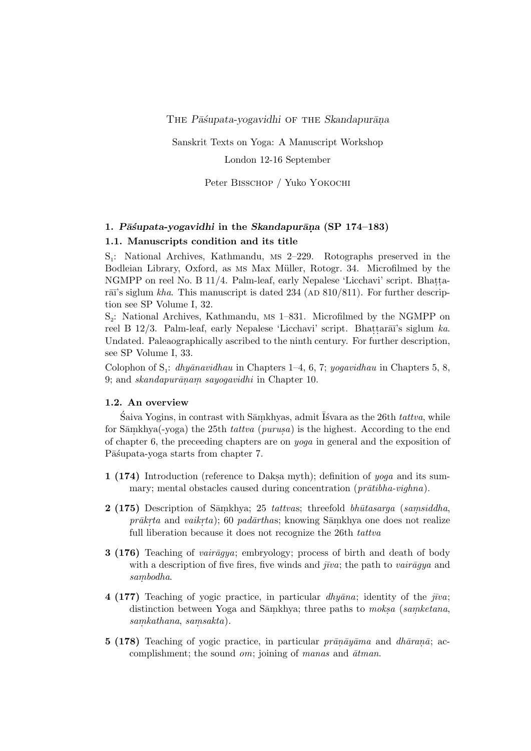THE *P* $\bar{a}$ *ssupata-yogavidhi* OF THE *Skandapur* $\bar{a}$ na

Sanskrit Texts on Yoga: A Manuscript Workshop

London 12-16 September

Peter Bisschop / Yuko Yokochi

# **1.** *P¯a´supata-yogavidhi* **in the** *Skandapur¯an. a* **(SP 174–183)**

### **1.1. Manuscripts condition and its title**

S<sub>1</sub>: National Archives, Kathmandu, MS 2-229. Rotographs preserved in the Bodleian Library, Oxford, as Ms Max Müller, Rotogr. 34. Microfilmed by the NGMPP on reel No. B 11/4. Palm-leaf, early Nepalese 'Licchavi' script. Bhattarāī's siglum *kha*. This manuscript is dated 234 (AD 810/811). For further description see SP Volume I, 32.

S<sub>2</sub>: National Archives, Kathmandu, MS 1-831. Microfilmed by the NGMPP on reel B 12/3. Palm-leaf, early Nepalese 'Licchavi' script. Bhattara<del>ī</del>'s siglum *ka*. Undated. Paleaographically ascribed to the ninth century. For further description, see SP Volume I, 33.

Colophon of S<sub>1</sub>: *dhyānavidhau* in Chapters 1–4, 6, 7; *yogavidhau* in Chapters 5, 8, 9; and *skandapur¯an. am. sayogavidhi* in Chapter 10.

#### **1.2. An overview**

 $\acute{\text{S}}$ aiva Yogins, in contrast with Sāṃkhyas, admit Īśvara as the 26th *tattva*, while for Samkhya(-yoga) the 25th *tattva* (*purusa*) is the highest. According to the end of chapter 6, the preceeding chapters are on *yoga* in general and the exposition of Pāśupata-yoga starts from chapter 7.

- **1 (174)** Introduction (reference to Daksa myth); definition of *yoga* and its summary; mental obstacles caused during concentration (*prātibha-vighna*).
- **2 (175)** Description of Sāmkhya; 25 *tattvas*; threefold *bhūtasarga* (*samsiddha*, *prākrta* and *vaikrta*); 60 *padārthas*; knowing Sāmkhya one does not realize full liberation because it does not recognize the 26th *tattva*
- **3 (176)** Teaching of *vair* $\bar{a}qua$ ; embryology; process of birth and death of body with a description of five fires, five winds and  $\bar{j}v\bar{a}$ ; the path to  $\bar{v}a\bar{i}\bar{a}q\bar{y}a$  and  $sambodha.$
- **4 (177)** Teaching of yogic practice, in particular  $dh\bar{y}$  in a *j*ointity of the *j* $\bar{y}u$ ; distinction between Yoga and Sāmkhya; three paths to *moksa* (*samketana*, *).*
- **5 (178)** Teaching of yogic practice, in particular *prānāyāma* and *dhāranā*; accomplishment; the sound *om*; joining of *manas* and  $\bar{a}t$ *man*.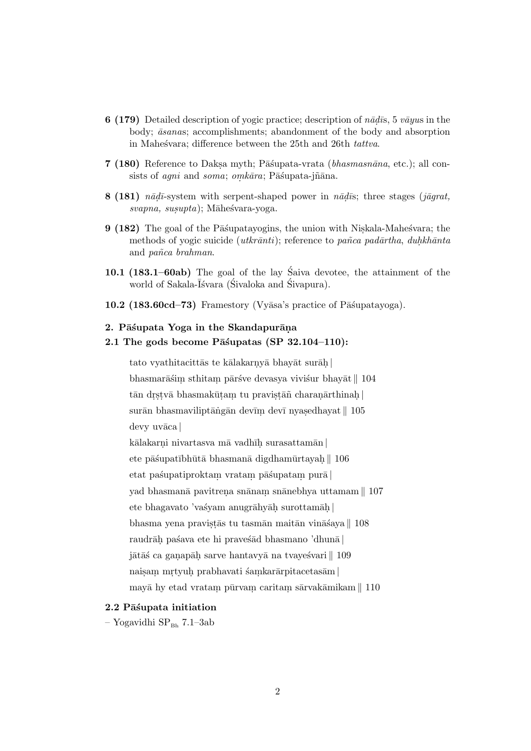- **6 (179)** Detailed description of yogic practice; description of  $n\bar{a}d\bar{s}$ , 5  $v\bar{a}yus$  in the body;  $\bar{a}$ *sanas*; accomplishments; abandonment of the body and absorption in Mahes<sup>v</sup>ara; difference between the 25th and 26th *tattva*.
- **7 (180)** Reference to Daksa myth; Pāśupata-vrata *(bhasmasnāna*, etc.); all consists of *agni* and *soma*; *omkāra*; Pāśupata-jñāna.
- **8 (181)** *n* $\bar{a}d\bar{a}$ -system with serpent-shaped power in  $n\bar{a}d\bar{a}$ ; three stages ( $j\bar{a}qrat$ ,  $svapna, susupta);$  Māhesvara-yoga.
- **9 (182)** The goal of the Pā supatayogins, the union with Niskala-Mahestara; the methods of yogic suicide (*utkrānti*); reference to *pañca padārtha*, *duhkhānta* and *pa˜nca brahman*.
- **10.1 (183.1–60ab)** The goal of the lay Saiva devotee, the attainment of the ´ world of Sakala- $\bar{I}$ svara (Sivaloka and Sivapura).
- **10.2 (183.60cd–73)** Framestory (Vyāsa's practice of Pāśupatayoga).

#### 2. Pāśupata Yoga in the Skandapurāna

#### 2.1 The gods become Pāśupatas (SP 32.104–110):

tato vyathitacittās te kālakarnyā bhayāt surāḥ bhasmarāśim sthitam pārśve devasya viviśur bhayāt *∥* 104 tān drstvā bhasmakūtam tu pravistāñ charanārthinaḥ| surān bhasmaviliptāṅgān devīm devī nyasedhayat *∥* 105 devy uvāca |

kālakarņi nivartasva mā vadhī**ḥ** surasattamān <mark>|</mark>

ete pāśupatībhūtā bhasmanā digdhamūrtayah *∥* 106

etat pa´supatiproktam. vratam. p¯a´supatam. pur¯a *|*

yad bhasmanā pavitrena snānam snānebhya uttamam <mark>∥</mark> 107

ete bhagavato 'vaśyam anugrāhyāḥ surottamāḥ|

bhasma yena pravistās tu tasmān maitān vināśaya *∥* 108

raudrāh paśava ete hi praveśād bhasmano 'dhunā |

jātāś ca ganapāḥ sarve hantavyā na tvayeśvari *∥* 109

naisam mrtyuh prabhavati śamkarārpitacetasām **|** 

mayā hy etad vratam pūrvam caritam sārvakāmikam  $\parallel$   $110$ 

#### **2.2 P¯a´supata initiation**

– Yogavidhi  $SP_{Bh}$  7.1–3ab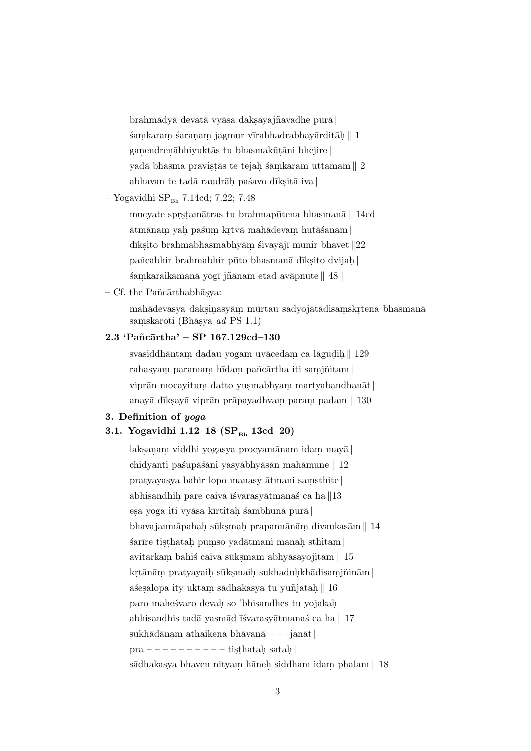brahm¯ady¯a devat¯a vy¯asa daks.ayaj˜navadhe pur¯a *|*  $\pm$ samkaram saranam jagmur vīrabhadrabhayārditāḥ  $\parallel$  1 ganendrenābhiyuktās tu bhasmakūtāni bhejire | yadā bhasma pravistās te tejah śāmkaram uttamam *∥* 2 abhavan te tadā raudrāh pašavo dīksitā iva <mark>|</mark>

### $-$  Yogavidhi SP<sub>Bh</sub> 7.14cd; 7.22; 7.48

mucyate sprstamātras tu brahmapūtena bhasmanā<sub></sub>∥ 14cd  $\bar{\mathrm{a}}$ tmānam yah paśum krtvā mahādevam hutāśanam **|** dīksito brahmabhasmabhyām śivayājī munir bhavet *∥*22 pañcabhir brahmabhir pūto bhasmanā dīkṣito dvijaḥ| śamkaraikamanā yogī jñānam etad avāpnute *∥* 48 *∥* 

– Cf. the Pañc $\bar{a}$ rthabh $\bar{a}$ sva:

mahādevasya daksiņasyām mūrtau sadyojātādisamskrtena bhasmanā saṃskaroti (Bhāṣya *ad* PS 1.1)

### **2.3 'Pa˜nc¯artha' – SP 167.129cd–130**

svasiddhāntam dadau yogam uvācedam ca lāgudih<sub>.</sub>∥ 129 rahasyam paramam hīdam pañcārtha iti samjñitam **|** viprān mocayitum datto yusmabhyam martyabandhanāt | anayā dīksayā viprān prāpayadhvam param padam *∥* 130

### **3. Definition of** *yoga*

### 3.1. Yogavidhi 1.12–18 (SP<sub>Bb</sub> 13cd–20)

laks.an. am. viddhi yogasya procyam¯anam idam. may¯a *|* chidyanti paśupāśāni yasyābhyāsān mahāmune∥ 12 pratyayasya bahir lopo manasy ¯atmani sam. sthite *|* abhisandhih pare caiva īśvarasyātmanas´ ca ha *∥*13 esa yoga iti vyāsa kīrtitah śambhunā purā | bhavajanmāpahah sūksmah prapannānām divaukasām *∥* 14  $\pm$ isthatah pumso yadātmani manah $\pm$ avitarkam bahiś caiva sūksmam abhyāsayojitam *∥* 15  $\mathrm{krt}\bar{\mathrm{a}}$ nām pratyayaih sūksmaih sukhaduh.<br/>khādisam.<br>jñinām  $|$ aśesalopa ity uktam sādhakasya tu yuñjatah<sub>.</sub>∥ 16 paro maheśvaro devah so 'bhisandhes tu yojakah<sub>.</sub> abhisandhis tadā yasmād īśvarasyātmanaś ca ha *∥* 17 sukhādānam athaikena bhāvanā – – –janāt | pra – – – – – – – – – – tisthatah satah | sādhakasya bhaven nityam hāneh siddham idam phalam *∥* 18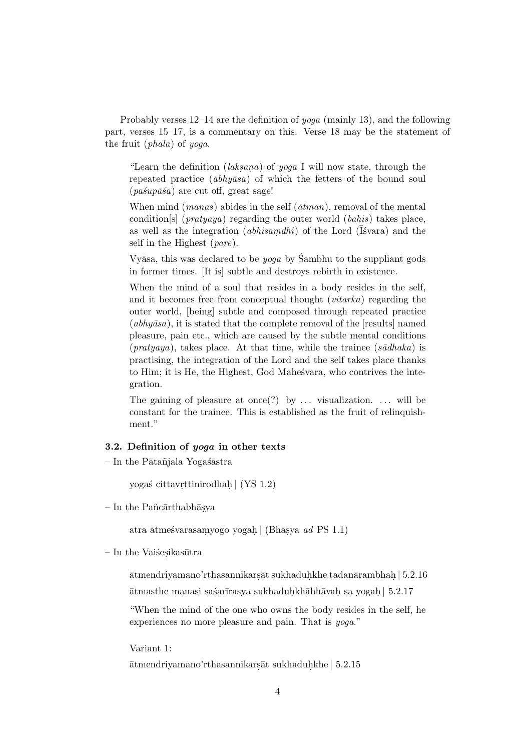Probably verses 12–14 are the definition of *yoga* (mainly 13), and the following part, verses 15–17, is a commentary on this. Verse 18 may be the statement of the fruit (*phala*) of *yoga*.

"Learn the definition *(laksana)* of *yoga* I will now state, through the repeated practice *(abhyāsa)* of which the fetters of the bound soul  $(pa\sin\theta\hat{s}a)$  are cut off, great sage!

When mind (*manas*) abides in the self ( $\bar{a}$ *tman*), removal of the mental condition[s] (*pratyaya*) regarding the outer world (*bahis*) takes place, as well as the integration *(abhisamdhi)* of the Lord (Isvara) and the self in the Highest (*pare*).

Vyasa, this was declared to be *yoga* by Sambhu to the suppliant gods in former times. [It is] subtle and destroys rebirth in existence.

When the mind of a soul that resides in a body resides in the self, and it becomes free from conceptual thought (*vitarka*) regarding the outer world, [being] subtle and composed through repeated practice  $(abhy\bar{a}sa)$ , it is stated that the complete removal of the [results] named pleasure, pain etc., which are caused by the subtle mental conditions  $(pratyaya)$ , takes place. At that time, while the trainee  $(s\bar{a}dhaka)$  is practising, the integration of the Lord and the self takes place thanks to Him; it is He, the Highest, God Mahestara, who contrives the integration.

The gaining of pleasure at once (?) by  $\dots$  visualization.  $\dots$  will be constant for the trainee. This is established as the fruit of relinquishment."

### **3.2. Definition of** *yoga* **in other texts**

 $-$  In the Pātañjala Yogaśāstra

yoga´s cittavr. ttinirodhah. *|* (YS 1.2)

 $-$  In the Pañcārthabhāsya

atra ātmešvarasam.yogo yogaḥ| (Bhāṣya *ad* PS 1.1)

 $-$ In the Vaišesikasūtra

 $\bar{\mathrm{a}}$ tmendriyamano'rthasannikars $\bar{\mathrm{a}}$ t sukhaduḥkhe tadan $\bar{\mathrm{a}}$ rambhaḥ $|$  5.2.16 ātmasthe manasi saśarīrasya sukhaduḥkhābhāvaḥ sa yogaḥ| 5.2.17

"When the mind of the one who owns the body resides in the self, he experiences no more pleasure and pain. That is *yoga*."

Variant 1:

 $\bar{\text{at}}$ mendriyamano'rthasannikars $\bar{\text{at}}$  sukhaduhkhe | 5.2.15